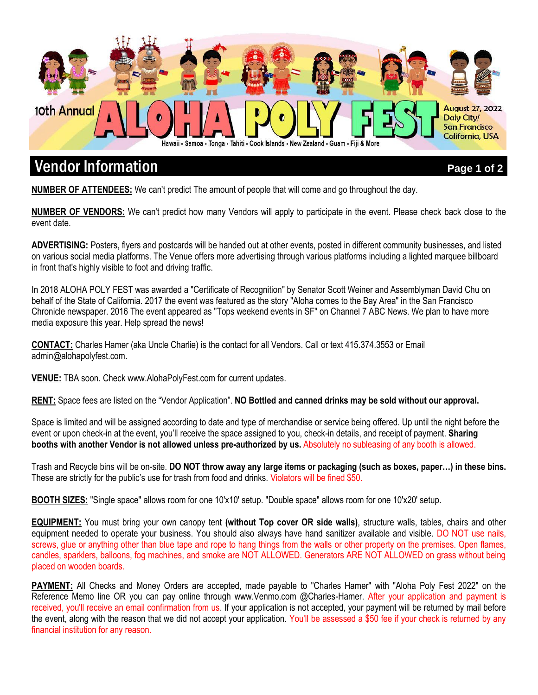

# **Vendor Information** *Page 1 of 2***. The Vendor of 2. The Vendor of 2. The Vendor Information**

**NUMBER OF ATTENDEES:** We can't predict The amount of people that will come and go throughout the day.

**NUMBER OF VENDORS:** We can't predict how many Vendors will apply to participate in the event. Please check back close to the event date.

**ADVERTISING:** Posters, flyers and postcards will be handed out at other events, posted in different community businesses, and listed on various social media platforms. The Venue offers more advertising through various platforms including a lighted marquee billboard in front that's highly visible to foot and driving traffic.

In 2018 ALOHA POLY FEST was awarded a "Certificate of Recognition" by Senator Scott Weiner and Assemblyman David Chu on behalf of the State of California. 2017 the event was featured as the story "Aloha comes to the Bay Area" in the San Francisco Chronicle newspaper. 2016 The event appeared as "Tops weekend events in SF" on Channel 7 ABC News. We plan to have more media exposure this year. Help spread the news!

**CONTACT:** Charles Hamer (aka Uncle Charlie) is the contact for all Vendors. Call or text 415.374.3553 or Email admin@alohapolyfest.com.

**VENUE:** TBA soon. Check www.AlohaPolyFest.com for current updates.

**RENT:** Space fees are listed on the "Vendor Application". **NO Bottled and canned drinks may be sold without our approval.**

Space is limited and will be assigned according to date and type of merchandise or service being offered. Up until the night before the event or upon check-in at the event, you'll receive the space assigned to you, check-in details, and receipt of payment. **Sharing booths with another Vendor is not allowed unless pre-authorized by us.** Absolutely no subleasing of any booth is allowed.

Trash and Recycle bins will be on-site. **DO NOT throw away any large items or packaging (such as boxes, paper…) in these bins.** These are strictly for the public's use for trash from food and drinks. Violators will be fined \$50.

**BOOTH SIZES:** "Single space" allows room for one 10'x10' setup. "Double space" allows room for one 10'x20' setup.

**EQUIPMENT:** You must bring your own canopy tent **(without Top cover OR side walls)**, structure walls, tables, chairs and other equipment needed to operate your business. You should also always have hand sanitizer available and visible. DO NOT use nails, screws, glue or anything other than blue tape and rope to hang things from the walls or other property on the premises. Open flames, candles, sparklers, balloons, fog machines, and smoke are NOT ALLOWED. Generators ARE NOT ALLOWED on grass without being placed on wooden boards.

**PAYMENT:** All Checks and Money Orders are accepted, made payable to "Charles Hamer" with "Aloha Poly Fest 2022" on the Reference Memo line OR you can pay online through www.Venmo.com @Charles-Hamer. After your application and payment is received, you'll receive an email confirmation from us. If your application is not accepted, your payment will be returned by mail before the event, along with the reason that we did not accept your application. You'll be assessed a \$50 fee if your check is returned by any financial institution for any reason.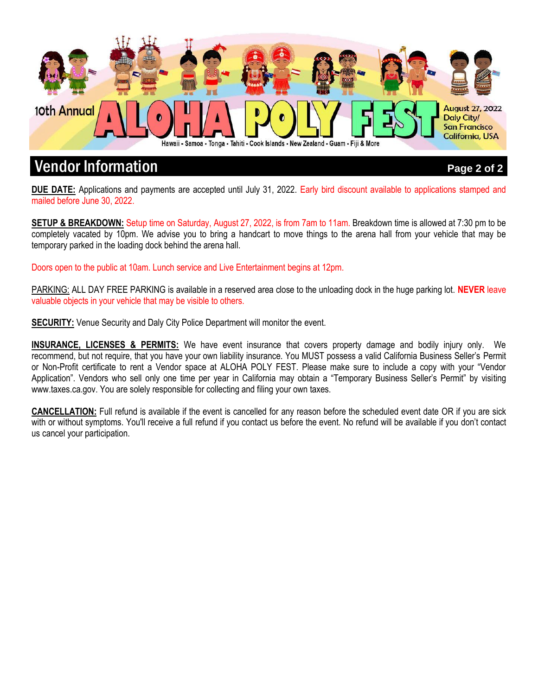

## **Vendor Information** *Page 2 of 2***. The Vendor Information** *Page 2 of 2***.**

**DUE DATE:** Applications and payments are accepted until July 31, 2022. Early bird discount available to applications stamped and mailed before June 30, 2022.

**SETUP & BREAKDOWN:** Setup time on Saturday, August 27, 2022, is from 7am to 11am. Breakdown time is allowed at 7:30 pm to be completely vacated by 10pm. We advise you to bring a handcart to move things to the arena hall from your vehicle that may be temporary parked in the loading dock behind the arena hall.

Doors open to the public at 10am. Lunch service and Live Entertainment begins at 12pm.

PARKING: ALL DAY FREE PARKING is available in a reserved area close to the unloading dock in the huge parking lot. **NEVER** leave valuable objects in your vehicle that may be visible to others.

**SECURITY:** Venue Security and Daly City Police Department will monitor the event.

**INSURANCE, LICENSES & PERMITS:** We have event insurance that covers property damage and bodily injury only. We recommend, but not require, that you have your own liability insurance. You MUST possess a valid California Business Seller's Permit or Non-Profit certificate to rent a Vendor space at ALOHA POLY FEST. Please make sure to include a copy with your "Vendor Application". Vendors who sell only one time per year in California may obtain a "Temporary Business Seller's Permit" by visiting www.taxes.ca.gov. You are solely responsible for collecting and filing your own taxes.

**CANCELLATION:** Full refund is available if the event is cancelled for any reason before the scheduled event date OR if you are sick with or without symptoms. You'll receive a full refund if you contact us before the event. No refund will be available if you don't contact us cancel your participation.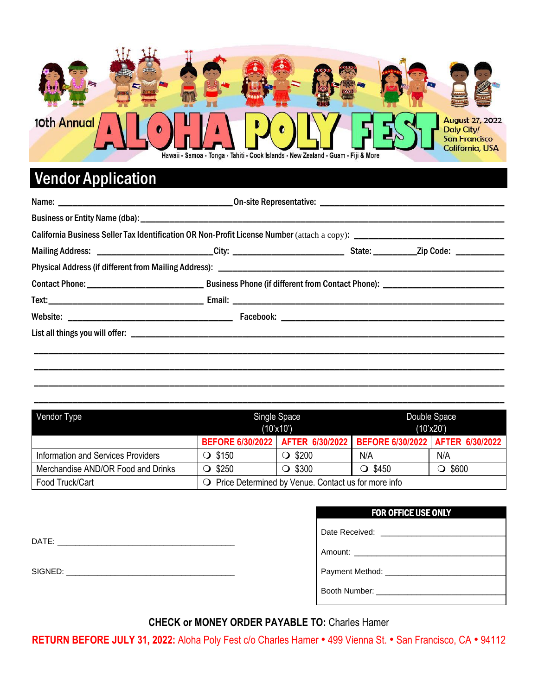

# Vendor Application

| Vendor Type                        | Single Space<br>$(10^{\circ} \times 10^{\circ})$ |                                                     | Double Space<br>$(10^{\circ}x20^{\circ})$                               |                 |
|------------------------------------|--------------------------------------------------|-----------------------------------------------------|-------------------------------------------------------------------------|-----------------|
|                                    |                                                  |                                                     | BEFORE 6/30/2022   AFTER 6/30/2022   BEFORE 6/30/2022   AFTER 6/30/2022 |                 |
| Information and Services Providers | $\bigcirc$ \$150                                 | $\bigcirc$ \$200                                    | N/A                                                                     | N/A             |
| Merchandise AND/OR Food and Drinks | \$250                                            | $\bigcirc$ \$300                                    | $\bigcirc$ \$450                                                        | \$600<br>$\cup$ |
| Food Truck/Cart                    |                                                  | Price Determined by Venue. Contact us for more info |                                                                         |                 |

\_\_\_\_\_\_\_\_\_\_\_\_\_\_\_\_\_\_\_\_\_\_\_\_\_\_\_\_\_\_\_\_\_\_\_\_\_\_\_\_\_\_\_\_\_\_\_\_\_\_\_\_\_\_\_\_\_\_\_\_\_\_\_\_\_\_\_\_\_\_\_\_\_\_\_\_\_\_\_\_\_\_\_\_\_\_\_\_\_\_\_\_\_\_\_\_\_

SIGNED: \_\_\_\_\_\_\_\_\_\_\_\_\_\_\_\_\_\_\_\_\_\_\_\_\_\_\_\_\_\_\_\_\_\_\_\_\_\_

| Amount: __________________________ |
|------------------------------------|
|                                    |
|                                    |
| Booth Number: ____________________ |

**CHECK or MONEY ORDER PAYABLE TO:** Charles Hamer

**RETURN BEFORE JULY 31, 2022:** Aloha Poly Fest c/o Charles Hamer ● 499 Vienna St. ● San Francisco, CA ● 94112